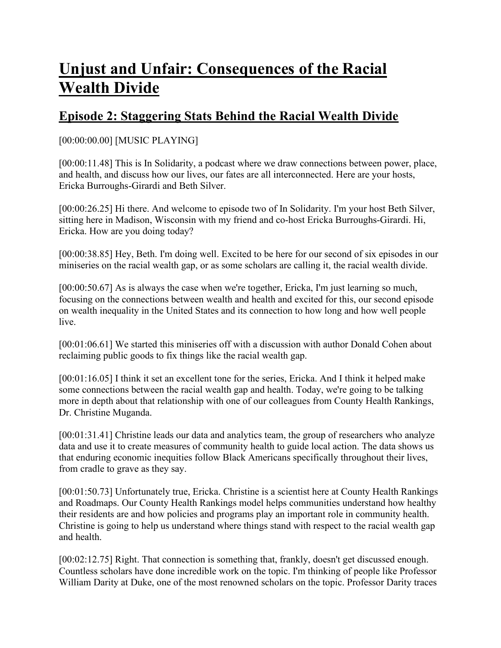# **Unjust and Unfair: Consequences of the Racial Wealth Divide**

# **Episode 2: Staggering Stats Behind the Racial Wealth Divide**

## [00:00:00.00] [MUSIC PLAYING]

[00:00:11.48] This is In Solidarity, a podcast where we draw connections between power, place, and health, and discuss how our lives, our fates are all interconnected. Here are your hosts, Ericka Burroughs-Girardi and Beth Silver.

[00:00:26.25] Hi there. And welcome to episode two of In Solidarity. I'm your host Beth Silver, sitting here in Madison, Wisconsin with my friend and co-host Ericka Burroughs-Girardi. Hi, Ericka. How are you doing today?

[00:00:38.85] Hey, Beth. I'm doing well. Excited to be here for our second of six episodes in our miniseries on the racial wealth gap, or as some scholars are calling it, the racial wealth divide.

[00:00:50.67] As is always the case when we're together, Ericka, I'm just learning so much, focusing on the connections between wealth and health and excited for this, our second episode on wealth inequality in the United States and its connection to how long and how well people live.

[00:01:06.61] We started this miniseries off with a discussion with author Donald Cohen about reclaiming public goods to fix things like the racial wealth gap.

[00:01:16.05] I think it set an excellent tone for the series, Ericka. And I think it helped make some connections between the racial wealth gap and health. Today, we're going to be talking more in depth about that relationship with one of our colleagues from County Health Rankings, Dr. Christine Muganda.

[00:01:31.41] Christine leads our data and analytics team, the group of researchers who analyze data and use it to create measures of community health to guide local action. The data shows us that enduring economic inequities follow Black Americans specifically throughout their lives, from cradle to grave as they say.

[00:01:50.73] Unfortunately true, Ericka. Christine is a scientist here at County Health Rankings and Roadmaps. Our County Health Rankings model helps communities understand how healthy their residents are and how policies and programs play an important role in community health. Christine is going to help us understand where things stand with respect to the racial wealth gap and health.

[00:02:12.75] Right. That connection is something that, frankly, doesn't get discussed enough. Countless scholars have done incredible work on the topic. I'm thinking of people like Professor William Darity at Duke, one of the most renowned scholars on the topic. Professor Darity traces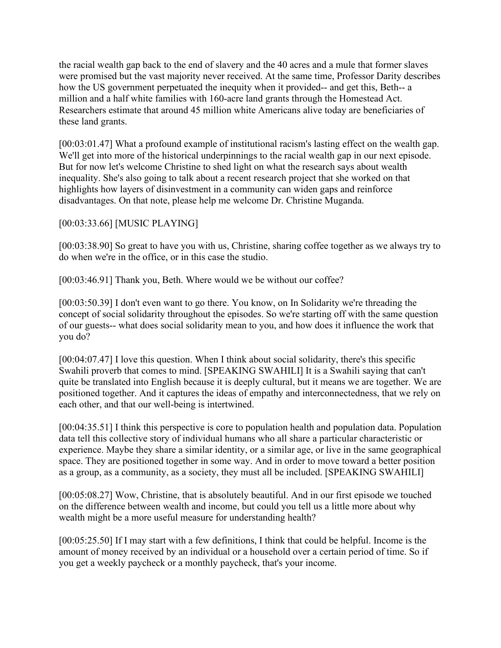the racial wealth gap back to the end of slavery and the 40 acres and a mule that former slaves were promised but the vast majority never received. At the same time, Professor Darity describes how the US government perpetuated the inequity when it provided-- and get this, Beth-- a million and a half white families with 160-acre land grants through the Homestead Act. Researchers estimate that around 45 million white Americans alive today are beneficiaries of these land grants.

[00:03:01.47] What a profound example of institutional racism's lasting effect on the wealth gap. We'll get into more of the historical underpinnings to the racial wealth gap in our next episode. But for now let's welcome Christine to shed light on what the research says about wealth inequality. She's also going to talk about a recent research project that she worked on that highlights how layers of disinvestment in a community can widen gaps and reinforce disadvantages. On that note, please help me welcome Dr. Christine Muganda.

[00:03:33.66] [MUSIC PLAYING]

[00:03:38.90] So great to have you with us, Christine, sharing coffee together as we always try to do when we're in the office, or in this case the studio.

[00:03:46.91] Thank you, Beth. Where would we be without our coffee?

[00:03:50.39] I don't even want to go there. You know, on In Solidarity we're threading the concept of social solidarity throughout the episodes. So we're starting off with the same question of our guests-- what does social solidarity mean to you, and how does it influence the work that you do?

[00:04:07.47] I love this question. When I think about social solidarity, there's this specific Swahili proverb that comes to mind. [SPEAKING SWAHILI] It is a Swahili saying that can't quite be translated into English because it is deeply cultural, but it means we are together. We are positioned together. And it captures the ideas of empathy and interconnectedness, that we rely on each other, and that our well-being is intertwined.

[00:04:35.51] I think this perspective is core to population health and population data. Population data tell this collective story of individual humans who all share a particular characteristic or experience. Maybe they share a similar identity, or a similar age, or live in the same geographical space. They are positioned together in some way. And in order to move toward a better position as a group, as a community, as a society, they must all be included. [SPEAKING SWAHILI]

[00:05:08.27] Wow, Christine, that is absolutely beautiful. And in our first episode we touched on the difference between wealth and income, but could you tell us a little more about why wealth might be a more useful measure for understanding health?

[00:05:25.50] If I may start with a few definitions, I think that could be helpful. Income is the amount of money received by an individual or a household over a certain period of time. So if you get a weekly paycheck or a monthly paycheck, that's your income.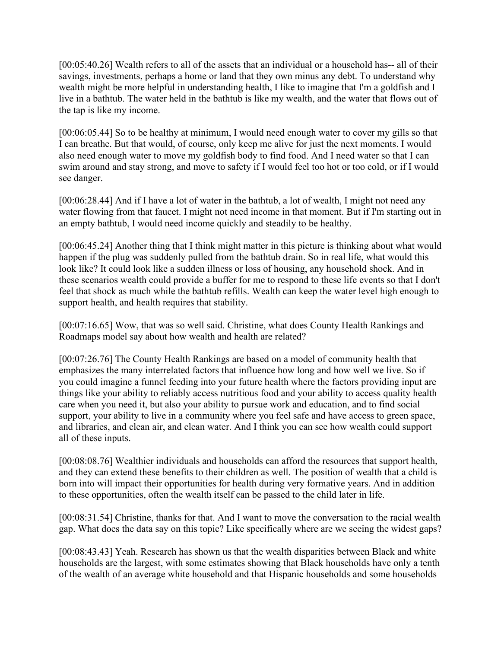[00:05:40.26] Wealth refers to all of the assets that an individual or a household has-- all of their savings, investments, perhaps a home or land that they own minus any debt. To understand why wealth might be more helpful in understanding health, I like to imagine that I'm a goldfish and I live in a bathtub. The water held in the bathtub is like my wealth, and the water that flows out of the tap is like my income.

[00:06:05.44] So to be healthy at minimum, I would need enough water to cover my gills so that I can breathe. But that would, of course, only keep me alive for just the next moments. I would also need enough water to move my goldfish body to find food. And I need water so that I can swim around and stay strong, and move to safety if I would feel too hot or too cold, or if I would see danger.

[00:06:28.44] And if I have a lot of water in the bathtub, a lot of wealth, I might not need any water flowing from that faucet. I might not need income in that moment. But if I'm starting out in an empty bathtub, I would need income quickly and steadily to be healthy.

[00:06:45.24] Another thing that I think might matter in this picture is thinking about what would happen if the plug was suddenly pulled from the bathtub drain. So in real life, what would this look like? It could look like a sudden illness or loss of housing, any household shock. And in these scenarios wealth could provide a buffer for me to respond to these life events so that I don't feel that shock as much while the bathtub refills. Wealth can keep the water level high enough to support health, and health requires that stability.

[00:07:16.65] Wow, that was so well said. Christine, what does County Health Rankings and Roadmaps model say about how wealth and health are related?

[00:07:26.76] The County Health Rankings are based on a model of community health that emphasizes the many interrelated factors that influence how long and how well we live. So if you could imagine a funnel feeding into your future health where the factors providing input are things like your ability to reliably access nutritious food and your ability to access quality health care when you need it, but also your ability to pursue work and education, and to find social support, your ability to live in a community where you feel safe and have access to green space, and libraries, and clean air, and clean water. And I think you can see how wealth could support all of these inputs.

[00:08:08.76] Wealthier individuals and households can afford the resources that support health, and they can extend these benefits to their children as well. The position of wealth that a child is born into will impact their opportunities for health during very formative years. And in addition to these opportunities, often the wealth itself can be passed to the child later in life.

[00:08:31.54] Christine, thanks for that. And I want to move the conversation to the racial wealth gap. What does the data say on this topic? Like specifically where are we seeing the widest gaps?

[00:08:43.43] Yeah. Research has shown us that the wealth disparities between Black and white households are the largest, with some estimates showing that Black households have only a tenth of the wealth of an average white household and that Hispanic households and some households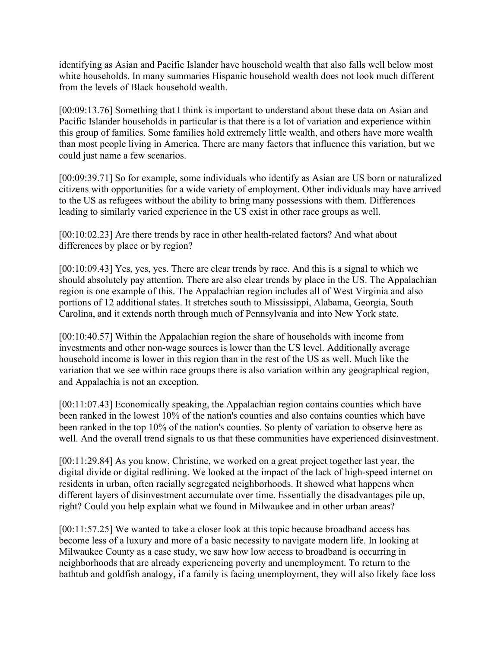identifying as Asian and Pacific Islander have household wealth that also falls well below most white households. In many summaries Hispanic household wealth does not look much different from the levels of Black household wealth.

[00:09:13.76] Something that I think is important to understand about these data on Asian and Pacific Islander households in particular is that there is a lot of variation and experience within this group of families. Some families hold extremely little wealth, and others have more wealth than most people living in America. There are many factors that influence this variation, but we could just name a few scenarios.

[00:09:39.71] So for example, some individuals who identify as Asian are US born or naturalized citizens with opportunities for a wide variety of employment. Other individuals may have arrived to the US as refugees without the ability to bring many possessions with them. Differences leading to similarly varied experience in the US exist in other race groups as well.

[00:10:02.23] Are there trends by race in other health-related factors? And what about differences by place or by region?

[00:10:09.43] Yes, yes, yes. There are clear trends by race. And this is a signal to which we should absolutely pay attention. There are also clear trends by place in the US. The Appalachian region is one example of this. The Appalachian region includes all of West Virginia and also portions of 12 additional states. It stretches south to Mississippi, Alabama, Georgia, South Carolina, and it extends north through much of Pennsylvania and into New York state.

[00:10:40.57] Within the Appalachian region the share of households with income from investments and other non-wage sources is lower than the US level. Additionally average household income is lower in this region than in the rest of the US as well. Much like the variation that we see within race groups there is also variation within any geographical region, and Appalachia is not an exception.

[00:11:07.43] Economically speaking, the Appalachian region contains counties which have been ranked in the lowest 10% of the nation's counties and also contains counties which have been ranked in the top 10% of the nation's counties. So plenty of variation to observe here as well. And the overall trend signals to us that these communities have experienced disinvestment.

[00:11:29.84] As you know, Christine, we worked on a great project together last year, the digital divide or digital redlining. We looked at the impact of the lack of high-speed internet on residents in urban, often racially segregated neighborhoods. It showed what happens when different layers of disinvestment accumulate over time. Essentially the disadvantages pile up, right? Could you help explain what we found in Milwaukee and in other urban areas?

[00:11:57.25] We wanted to take a closer look at this topic because broadband access has become less of a luxury and more of a basic necessity to navigate modern life. In looking at Milwaukee County as a case study, we saw how low access to broadband is occurring in neighborhoods that are already experiencing poverty and unemployment. To return to the bathtub and goldfish analogy, if a family is facing unemployment, they will also likely face loss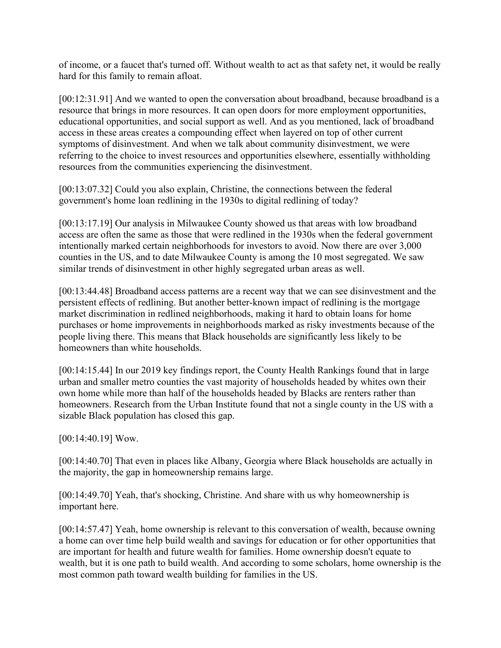of income, or a faucet that's turned off. Without wealth to act as that safety net, it would be really hard for this family to remain afloat.

[00:12:31.91] And we wanted to open the conversation about broadband, because broadband is a resource that brings in more resources. It can open doors for more employment opportunities, educational opportunities, and social support as well. And as you mentioned, lack of broadband access in these areas creates a compounding effect when layered on top of other current symptoms of disinvestment. And when we talk about community disinvestment, we were referring to the choice to invest resources and opportunities elsewhere, essentially withholding resources from the communities experiencing the disinvestment.

[00:13:07.32] Could you also explain, Christine, the connections between the federal government's home loan redlining in the 1930s to digital redlining of today?

[00:13:17.19] Our analysis in Milwaukee County showed us that areas with low broadband access are often the same as those that were redlined in the 1930s when the federal government intentionally marked certain neighborhoods for investors to avoid. Now there are over 3,000 counties in the US, and to date Milwaukee County is among the 10 most segregated. We saw similar trends of disinvestment in other highly segregated urban areas as well.

[00:13:44.48] Broadband access patterns are a recent way that we can see disinvestment and the persistent effects of redlining. But another better-known impact of redlining is the mortgage market discrimination in redlined neighborhoods, making it hard to obtain loans for home purchases or home improvements in neighborhoods marked as risky investments because of the people living there. This means that Black households are significantly less likely to be homeowners than white households.

[00:14:15.44] In our 2019 key findings report, the County Health Rankings found that in large urban and smaller metro counties the vast majority of households headed by whites own their own home while more than half of the households headed by Blacks are renters rather than homeowners. Research from the Urban Institute found that not a single county in the US with a sizable Black population has closed this gap.

[00:14:40.19] Wow.

[00:14:40.70] That even in places like Albany, Georgia where Black households are actually in the majority, the gap in homeownership remains large.

[00:14:49.70] Yeah, that's shocking, Christine. And share with us why homeownership is important here.

[00:14:57.47] Yeah, home ownership is relevant to this conversation of wealth, because owning a home can over time help build wealth and savings for education or for other opportunities that are important for health and future wealth for families. Home ownership doesn't equate to wealth, but it is one path to build wealth. And according to some scholars, home ownership is the most common path toward wealth building for families in the US.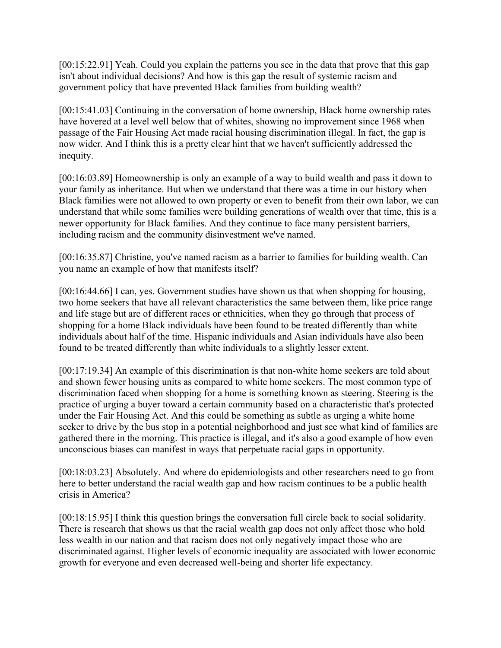[00:15:22.91] Yeah. Could you explain the patterns you see in the data that prove that this gap isn't about individual decisions? And how is this gap the result of systemic racism and government policy that have prevented Black families from building wealth?

[00:15:41.03] Continuing in the conversation of home ownership, Black home ownership rates have hovered at a level well below that of whites, showing no improvement since 1968 when passage of the Fair Housing Act made racial housing discrimination illegal. In fact, the gap is now wider. And I think this is a pretty clear hint that we haven't sufficiently addressed the inequity.

[00:16:03.89] Homeownership is only an example of a way to build wealth and pass it down to your family as inheritance. But when we understand that there was a time in our history when Black families were not allowed to own property or even to benefit from their own labor, we can understand that while some families were building generations of wealth over that time, this is a newer opportunity for Black families. And they continue to face many persistent barriers, including racism and the community disinvestment we've named.

[00:16:35.87] Christine, you've named racism as a barrier to families for building wealth. Can you name an example of how that manifests itself?

[00:16:44.66] I can, yes. Government studies have shown us that when shopping for housing, two home seekers that have all relevant characteristics the same between them, like price range and life stage but are of different races or ethnicities, when they go through that process of shopping for a home Black individuals have been found to be treated differently than white individuals about half of the time. Hispanic individuals and Asian individuals have also been found to be treated differently than white individuals to a slightly lesser extent.

[00:17:19.34] An example of this discrimination is that non-white home seekers are told about and shown fewer housing units as compared to white home seekers. The most common type of discrimination faced when shopping for a home is something known as steering. Steering is the practice of urging a buyer toward a certain community based on a characteristic that's protected under the Fair Housing Act. And this could be something as subtle as urging a white home seeker to drive by the bus stop in a potential neighborhood and just see what kind of families are gathered there in the morning. This practice is illegal, and it's also a good example of how even unconscious biases can manifest in ways that perpetuate racial gaps in opportunity.

[00:18:03.23] Absolutely. And where do epidemiologists and other researchers need to go from here to better understand the racial wealth gap and how racism continues to be a public health crisis in America?

[00:18:15.95] I think this question brings the conversation full circle back to social solidarity. There is research that shows us that the racial wealth gap does not only affect those who hold less wealth in our nation and that racism does not only negatively impact those who are discriminated against. Higher levels of economic inequality are associated with lower economic growth for everyone and even decreased well-being and shorter life expectancy.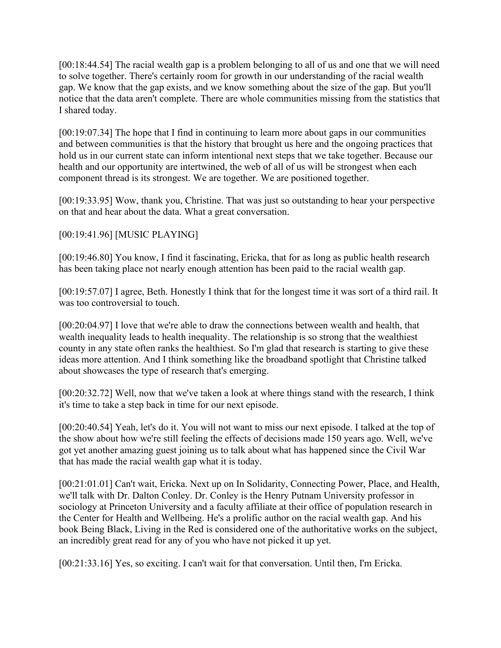[00:18:44.54] The racial wealth gap is a problem belonging to all of us and one that we will need to solve together. There's certainly room for growth in our understanding of the racial wealth gap. We know that the gap exists, and we know something about the size of the gap. But you'll notice that the data aren't complete. There are whole communities missing from the statistics that I shared today.

[00:19:07.34] The hope that I find in continuing to learn more about gaps in our communities and between communities is that the history that brought us here and the ongoing practices that hold us in our current state can inform intentional next steps that we take together. Because our health and our opportunity are intertwined, the web of all of us will be strongest when each component thread is its strongest. We are together. We are positioned together.

[00:19:33.95] Wow, thank you, Christine. That was just so outstanding to hear your perspective on that and hear about the data. What a great conversation.

### [00:19:41.96] [MUSIC PLAYING]

[00:19:46.80] You know, I find it fascinating, Ericka, that for as long as public health research has been taking place not nearly enough attention has been paid to the racial wealth gap.

[00:19:57.07] I agree, Beth. Honestly I think that for the longest time it was sort of a third rail. It was too controversial to touch.

[00:20:04.97] I love that we're able to draw the connections between wealth and health, that wealth inequality leads to health inequality. The relationship is so strong that the wealthiest county in any state often ranks the healthiest. So I'm glad that research is starting to give these ideas more attention. And I think something like the broadband spotlight that Christine talked about showcases the type of research that's emerging.

[00:20:32.72] Well, now that we've taken a look at where things stand with the research, I think it's time to take a step back in time for our next episode.

[00:20:40.54] Yeah, let's do it. You will not want to miss our next episode. I talked at the top of the show about how we're still feeling the effects of decisions made 150 years ago. Well, we've got yet another amazing guest joining us to talk about what has happened since the Civil War that has made the racial wealth gap what it is today.

[00:21:01.01] Can't wait, Ericka. Next up on In Solidarity, Connecting Power, Place, and Health, we'll talk with Dr. Dalton Conley. Dr. Conley is the Henry Putnam University professor in sociology at Princeton University and a faculty affiliate at their office of population research in the Center for Health and Wellbeing. He's a prolific author on the racial wealth gap. And his book Being Black, Living in the Red is considered one of the authoritative works on the subject, an incredibly great read for any of you who have not picked it up yet.

[00:21:33.16] Yes, so exciting. I can't wait for that conversation. Until then, I'm Ericka.